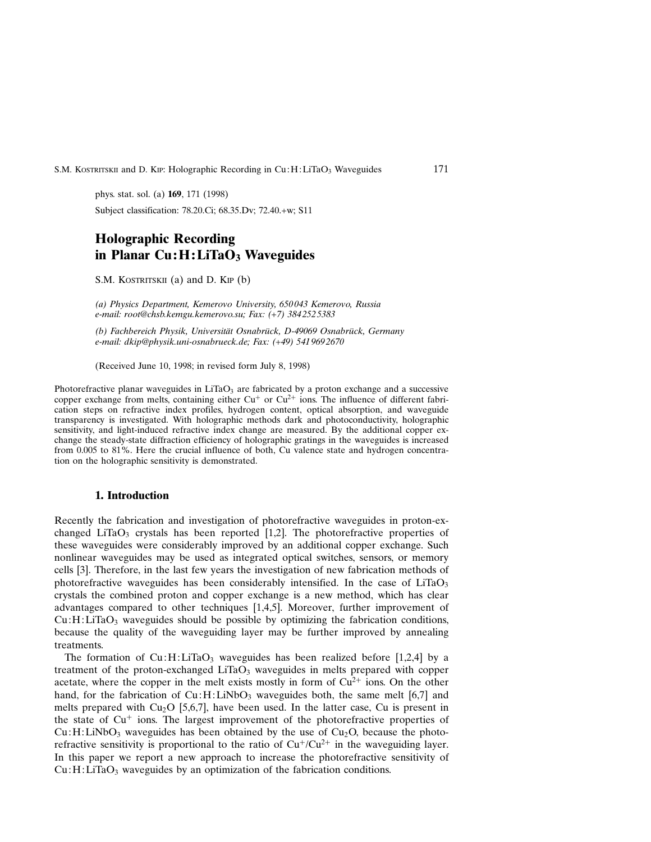## S.M. KOSTRITSKII and D. KIP: Holographic Recording in Cu: H: LiTaO<sub>3</sub> Waveguides 171

phys. stat. sol. (a) 169, 171 (1998) Subject classification: 78.20.Ci; 68.35.Dv; 72.40.+w; S11

# Holographic Recording in Planar  $Cu:H:LiTaO<sub>3</sub>$  Waveguides

S.M. KOSTRITSKII (a) and D. KIP (b)

(a) Physics Department, Kemerovo University, 650 043 Kemerovo, Russia e-mail: root@chsb.kemgu.kemerovo.su; Fax: (+7) 384 252 5383

(b) Fachbereich Physik, Universität Osnabrück, D-49069 Osnabrück, Germany e-mail: dkip@physik.uni-osnabrueck.de; Fax: (+49) 541 969 2670

(Received June 10, 1998; in revised form July 8, 1998)

Photorefractive planar waveguides in  $LiTaO<sub>3</sub>$  are fabricated by a proton exchange and a successive copper exchange from melts, containing either  $Cu<sup>+</sup>$  or  $Cu<sup>2+</sup>$  ions. The influence of different fabrication steps on refractive index profiles, hydrogen content, optical absorption, and waveguide transparency is investigated. With holographic methods dark and photoconductivity, holographic sensitivity, and light-induced refractive index change are measured. By the additional copper exchange the steady-state diffraction efficiency of holographic gratings in the waveguides is increased from 0.005 to 81%. Here the crucial influence of both, Cu valence state and hydrogen concentration on the holographic sensitivity is demonstrated.

# 1. Introduction

Recently the fabrication and investigation of photorefractive waveguides in proton-exchanged LiTaO<sub>3</sub> crystals has been reported [1,2]. The photorefractive properties of these waveguides were considerably improved by an additional copper exchange. Such nonlinear waveguides may be used as integrated optical switches, sensors, or memory cells [3]. Therefore, in the last few years the investigation of new fabrication methods of photorefractive waveguides has been considerably intensified. In the case of  $LiTaO<sub>3</sub>$ crystals the combined proton and copper exchange is a new method, which has clear advantages compared to other techniques [1,4,5]. Moreover, further improvement of  $Cu:H:LiTaO<sub>3</sub>$  waveguides should be possible by optimizing the fabrication conditions, because the quality of the waveguiding layer may be further improved by annealing treatments.

The formation of  $Cu:H: LiTaO<sub>3</sub>$  waveguides has been realized before [1,2,4] by a treatment of the proton-exchanged  $LiTaO<sub>3</sub>$  waveguides in melts prepared with copper acetate, where the copper in the melt exists mostly in form of  $Cu^{2+}$  ions. On the other hand, for the fabrication of  $Cu:H:LiNbO<sub>3</sub>$  waveguides both, the same melt [6,7] and melts prepared with  $Cu<sub>2</sub>O$  [5,6,7], have been used. In the latter case, Cu is present in the state of  $Cu<sup>+</sup>$  ions. The largest improvement of the photorefractive properties of  $Cu:H:LiNbO<sub>3</sub>$  waveguides has been obtained by the use of  $Cu<sub>2</sub>O$ , because the photorefractive sensitivity is proportional to the ratio of  $Cu^+/Cu^{2+}$  in the waveguiding layer. In this paper we report a new approach to increase the photorefractive sensitivity of  $Cu:H:LiTaO<sub>3</sub>$  waveguides by an optimization of the fabrication conditions.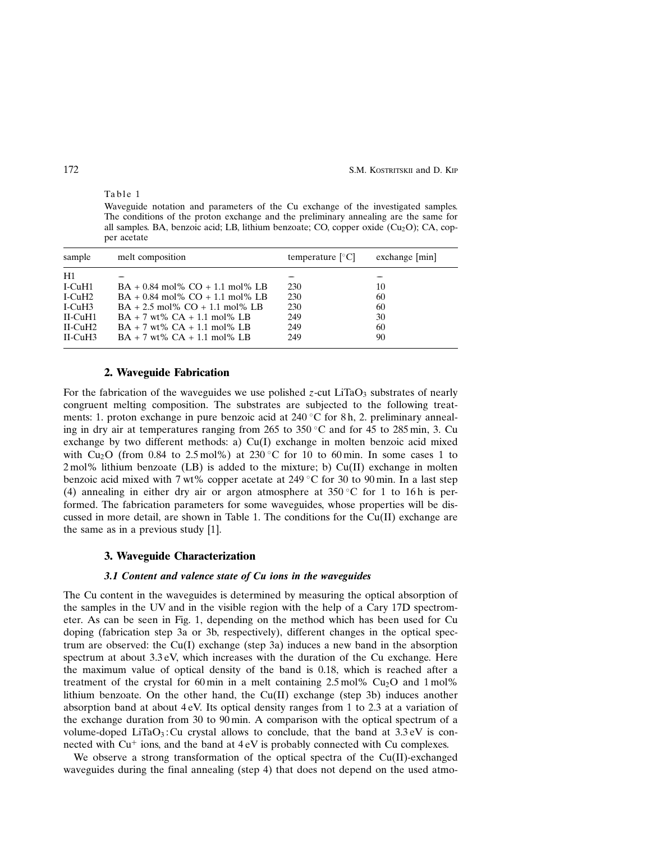172 S.M. Kostritskii and D. Kip

Waveguide notation and parameters of the Cu exchange of the investigated samples. The conditions of the proton exchange and the preliminary annealing are the same for all samples. BA, benzoic acid; LB, lithium benzoate; CO, copper oxide  $(Cu_2O)$ ; CA, copper acetate

| sample             | melt composition                    | temperature $ °C $ | $exchange$ [min] |
|--------------------|-------------------------------------|--------------------|------------------|
| H1                 |                                     |                    |                  |
| $I-CuH1$           | $BA + 0.84$ mol% $CO + 1.1$ mol% LB | 230                | 10               |
| I-CuH <sub>2</sub> | $BA + 0.84$ mol% $CO + 1.1$ mol% LB | 230                | 60               |
| $I-CuH3$           | $BA + 2.5$ mol% $CO + 1.1$ mol% LB  | 230                | 60               |
| $II$ -CuH $1$      | $BA + 7$ wt% $CA + 1.1$ mol% LB     | 249                | 30               |
| $II$ -CuH2         | $BA + 7$ wt% $CA + 1.1$ mol% LB     | 249                | 60               |
| $II$ -CuH3         | $BA + 7$ wt% $CA + 1.1$ mol% LB     | 249                | 90               |

#### 2. Waveguide Fabrication

For the fabrication of the waveguides we use polished z-cut LiTaO<sub>3</sub> substrates of nearly congruent melting composition. The substrates are subjected to the following treatments: 1. proton exchange in pure benzoic acid at  $240\degree$ C for 8 h, 2. preliminary annealing in dry air at temperatures ranging from 265 to 350 °C and for 45 to 285 min, 3. Cu exchange by two different methods: a) Cu(I) exchange in molten benzoic acid mixed with Cu<sub>2</sub>O (from 0.84 to 2.5 mol%) at 230 °C for 10 to 60 min. In some cases 1 to 2 mol% lithium benzoate (LB) is added to the mixture; b) Cu(II) exchange in molten benzoic acid mixed with 7 wt% copper acetate at 249 °C for 30 to 90 min. In a last step (4) annealing in either dry air or argon atmosphere at  $350\degree$ C for 1 to 16 h is performed. The fabrication parameters for some waveguides, whose properties will be discussed in more detail, are shown in Table 1. The conditions for the  $Cu(II)$  exchange are the same as in a previous study [1].

## 3. Waveguide Characterization

#### 3.1 Content and valence state of Cu ions in the waveguides

The Cu content in the waveguides is determined by measuring the optical absorption of the samples in the UV and in the visible region with the help of a Cary 17D spectrometer. As can be seen in Fig. 1, depending on the method which has been used for Cu doping (fabrication step 3a or 3b, respectively), different changes in the optical spectrum are observed: the Cu(I) exchange (step 3a) induces a new band in the absorption spectrum at about 3.3 eV, which increases with the duration of the Cu exchange. Here the maximum value of optical density of the band is 0.18, which is reached after a treatment of the crystal for 60 min in a melt containing  $2.5 \text{ mol\%}$  Cu<sub>2</sub>O and 1 mol<sup>%</sup> lithium benzoate. On the other hand, the Cu(II) exchange (step 3b) induces another absorption band at about 4 eV. Its optical density ranges from 1 to 2.3 at a variation of the exchange duration from 30 to 90 min. A comparison with the optical spectrum of a volume-doped LiTaO<sub>3</sub>: Cu crystal allows to conclude, that the band at  $3.3 \text{ eV}$  is connected with  $Cu<sup>+</sup>$  ions, and the band at  $4 \text{ eV}$  is probably connected with Cu complexes.

We observe a strong transformation of the optical spectra of the  $Cu(II)$ -exchanged waveguides during the final annealing (step 4) that does not depend on the used atmo-

Table 1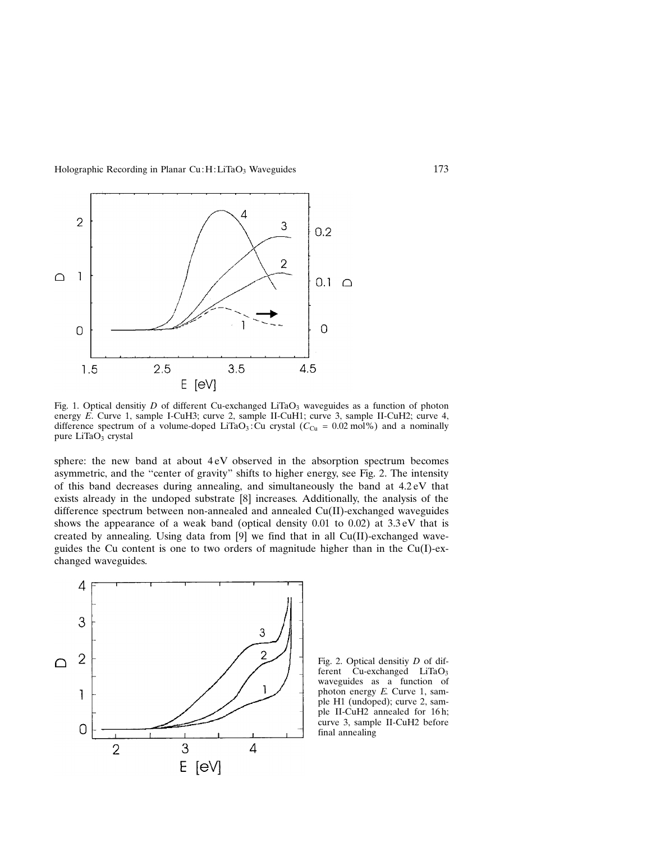Holographic Recording in Planar Cu: H: LiTaO<sub>3</sub> Waveguides 173



Fig. 1. Optical densitiy D of different Cu-exchanged LiTaO<sub>3</sub> waveguides as a function of photon energy E. Curve 1, sample I-CuH3; curve 2, sample II-CuH1; curve 3, sample II-CuH2; curve 4, difference spectrum of a volume-doped LiTaO<sub>3</sub>: Cu crystal ( $C_{Cu} = 0.02$  mol%) and a nominally pure  $LiTaO<sub>3</sub>$  crystal

sphere: the new band at about 4 eV observed in the absorption spectrum becomes asymmetric, and the "center of gravity" shifts to higher energy, see Fig. 2. The intensity of this band decreases during annealing, and simultaneously the band at 4.2 eV that exists already in the undoped substrate [8] increases. Additionally, the analysis of the difference spectrum between non-annealed and annealed Cu(II)-exchanged waveguides shows the appearance of a weak band (optical density  $0.01$  to  $0.02$ ) at  $3.3 \text{ eV}$  that is created by annealing. Using data from  $[9]$  we find that in all Cu(II)-exchanged waveguides the Cu content is one to two orders of magnitude higher than in the Cu(I)-exchanged waveguides.



Fig. 2. Optical densitiy D of different  $\tilde{C}$ u-exchanged LiTaO<sub>3</sub> waveguides as a function of photon energy E. Curve 1, sample H1 (undoped); curve 2, sample II-CuH2 annealed for 16 h; curve 3, sample II-CuH2 before final annealing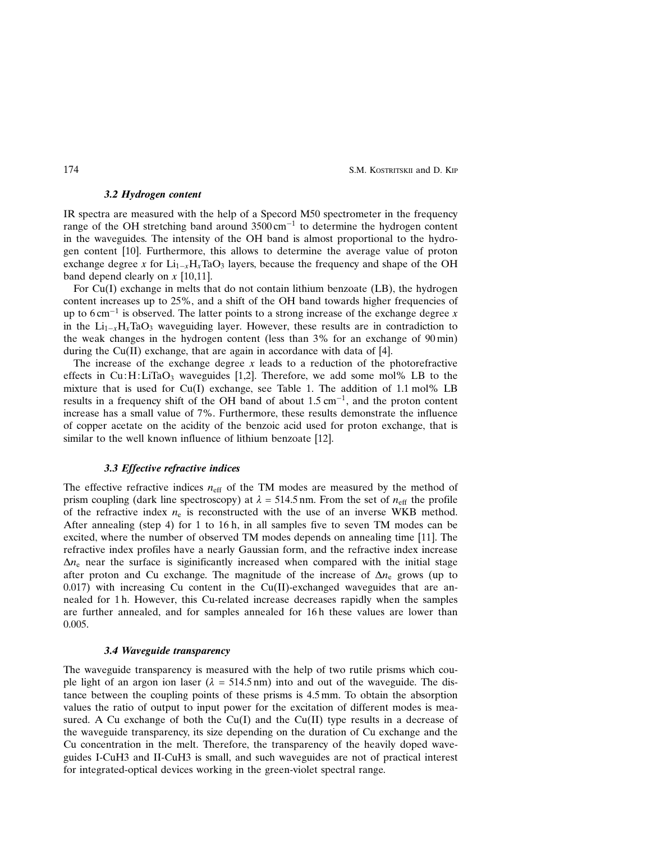174 S.M. KOSTRITSKII and D. KIP

## 3.2 Hydrogen content

IR spectra are measured with the help of a Specord M50 spectrometer in the frequency range of the OH stretching band around  $3500 \text{ cm}^{-1}$  to determine the hydrogen content in the waveguides. The intensity of the OH band is almost proportional to the hydrogen content [10]. Furthermore, this allows to determine the average value of proton exchange degree x for  $Li_{1-x}H_xTaO_3$  layers, because the frequency and shape of the OH band depend clearly on  $x$  [10,11].

For Cu(I) exchange in melts that do not contain lithium benzoate (LB), the hydrogen content increases up to 25%, and a shift of the OH band towards higher frequencies of up to  $6 \text{ cm}^{-1}$  is observed. The latter points to a strong increase of the exchange degree x in the  $Li_{1-x}H_xTaO_3$  waveguiding layer. However, these results are in contradiction to the weak changes in the hydrogen content (less than 3% for an exchange of 90 min) during the Cu(II) exchange, that are again in accordance with data of [4].

The increase of the exchange degree  $x$  leads to a reduction of the photorefractive effects in  $Cu:H:LiTaO_3$  waveguides [1,2]. Therefore, we add some mol% LB to the mixture that is used for  $Cu(I)$  exchange, see Table 1. The addition of 1.1 mol% LB results in a frequency shift of the OH band of about  $1.5 \text{ cm}^{-1}$ , and the proton content increase has a small value of 7%. Furthermore, these results demonstrate the influence of copper acetate on the acidity of the benzoic acid used for proton exchange, that is similar to the well known influence of lithium benzoate [12].

#### 3.3 Effective refractive indices

The effective refractive indices  $n_{\text{eff}}$  of the TM modes are measured by the method of prism coupling (dark line spectroscopy) at  $\lambda = 514.5$  nm. From the set of  $n_{\text{eff}}$  the profile of the refractive index  $n_e$  is reconstructed with the use of an inverse WKB method. After annealing (step 4) for 1 to 16 h, in all samples five to seven TM modes can be excited, where the number of observed TM modes depends on annealing time [11]. The refractive index profiles have a nearly Gaussian form, and the refractive index increase  $\Delta n_e$  near the surface is siginificantly increased when compared with the initial stage after proton and Cu exchange. The magnitude of the increase of  $\Delta n_e$  grows (up to  $0.017$ ) with increasing Cu content in the Cu(II)-exchanged waveguides that are annealed for 1 h. However, this Cu-related increase decreases rapidly when the samples are further annealed, and for samples annealed for 16 h these values are lower than 0.005.

#### 3.4 Waveguide transparency

The waveguide transparency is measured with the help of two rutile prisms which couple light of an argon ion laser  $(\lambda = 514.5 \text{ nm})$  into and out of the waveguide. The distance between the coupling points of these prisms is 4.5 mm. To obtain the absorption values the ratio of output to input power for the excitation of different modes is measured. A Cu exchange of both the Cu(I) and the Cu(II) type results in a decrease of the waveguide transparency, its size depending on the duration of Cu exchange and the Cu concentration in the melt. Therefore, the transparency of the heavily doped waveguides I-CuH3 and II-CuH3 is small, and such waveguides are not of practical interest for integrated-optical devices working in the green-violet spectral range.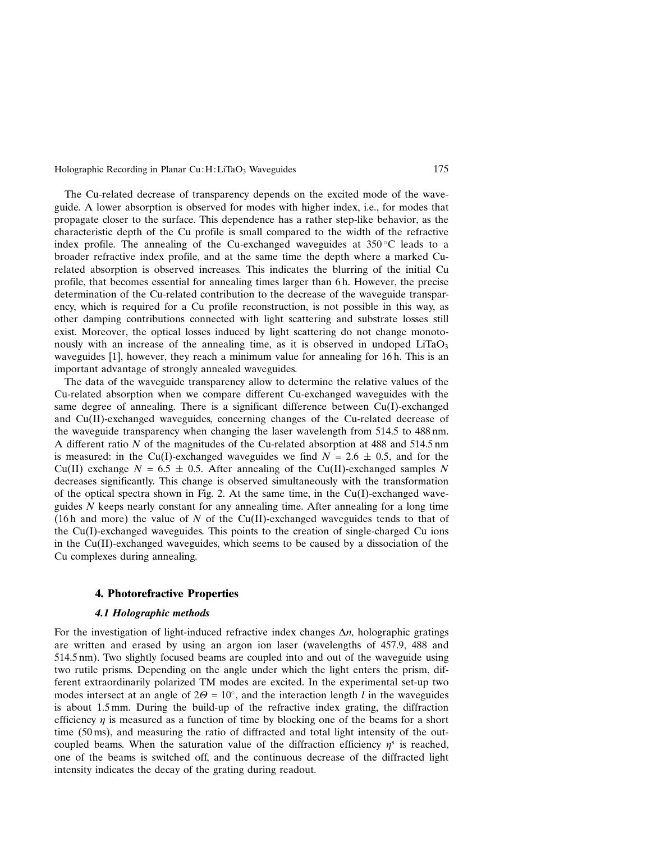Holographic Recording in Planar  $Cu:H:LiTaO<sub>3</sub>$  Waveguides 175

The Cu-related decrease of transparency depends on the excited mode of the waveguide. A lower absorption is observed for modes with higher index, i.e., for modes that propagate closer to the surface. This dependence has a rather step-like behavior, as the characteristic depth of the Cu profile is small compared to the width of the refractive index profile. The annealing of the Cu-exchanged waveguides at  $350^{\circ}$ C leads to a broader refractive index profile, and at the same time the depth where a marked Curelated absorption is observed increases. This indicates the blurring of the initial Cu profile, that becomes essential for annealing times larger than 6 h. However, the precise determination of the Cu-related contribution to the decrease of the waveguide transparency, which is required for a Cu profile reconstruction, is not possible in this way, as other damping contributions connected with light scattering and substrate losses still exist. Moreover, the optical losses induced by light scattering do not change monotonously with an increase of the annealing time, as it is observed in undoped  $LiTaO<sub>3</sub>$ waveguides [1], however, they reach a minimum value for annealing for 16 h. This is an important advantage of strongly annealed waveguides.

The data of the waveguide transparency allow to determine the relative values of the Cu-related absorption when we compare different Cu-exchanged waveguides with the same degree of annealing. There is a significant difference between Cu(I)-exchanged and Cu(II)-exchanged waveguides, concerning changes of the Cu-related decrease of the waveguide transparency when changing the laser wavelength from 514.5 to 488 nm. A different ratio N of the magnitudes of the Cu-related absorption at 488 and 514.5 nm is measured: in the Cu(I)-exchanged waveguides we find  $N = 2.6 \pm 0.5$ , and for the Cu(II) exchange  $N = 6.5 \pm 0.5$ . After annealing of the Cu(II)-exchanged samples N decreases significantly. This change is observed simultaneously with the transformation of the optical spectra shown in Fig. 2. At the same time, in the  $Cu(I)$ -exchanged waveguides  $N$  keeps nearly constant for any annealing time. After annealing for a long time (16h and more) the value of N of the Cu(II)-exchanged waveguides tends to that of the  $Cu(I)$ -exchanged waveguides. This points to the creation of single-charged Cu ions in the Cu(II)-exchanged waveguides, which seems to be caused by a dissociation of the Cu complexes during annealing.

# 4. Photorefractive Properties

# 4.1 Holographic methods

For the investigation of light-induced refractive index changes  $\Delta n$ , holographic gratings are written and erased by using an argon ion laser (wavelengths of 457.9, 488 and 514.5 nm). Two slightly focused beams are coupled into and out of the waveguide using two rutile prisms. Depending on the angle under which the light enters the prism, different extraordinarily polarized TM modes are excited. In the experimental set-up two modes intersect at an angle of  $2\Theta = 10^{\circ}$ , and the interaction length *l* in the waveguides is about 1.5 mm. During the build-up of the refractive index grating, the diffraction efficiency  $\eta$  is measured as a function of time by blocking one of the beams for a short time (50 ms), and measuring the ratio of diffracted and total light intensity of the outcoupled beams. When the saturation value of the diffraction efficiency  $\eta^s$  is reached, one of the beams is switched off, and the continuous decrease of the diffracted light intensity indicates the decay of the grating during readout.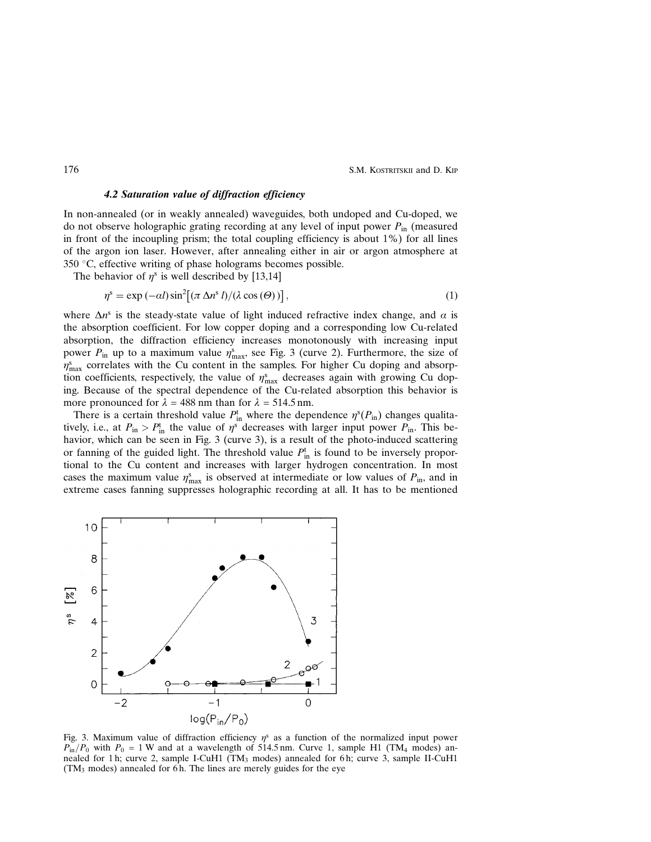176 S.M. KOSTRITSKII and D. KIP

## 4.2 Saturation value of diffraction efficiency

In non-annealed (or in weakly annealed) waveguides, both undoped and Cu-doped, we do not observe holographic grating recording at any level of input power  $P_{\text{in}}$  (measured in front of the incoupling prism; the total coupling efficiency is about 1%) for all lines of the argon ion laser. However, after annealing either in air or argon atmosphere at 350  $\degree$ C, effective writing of phase holograms becomes possible.

The behavior of  $\eta^s$  is well described by [13,14]

$$
\eta^s = \exp(-\alpha l) \sin^2[(\pi \Delta n^s l)/(\lambda \cos(\Theta))],
$$
\n(1)

where  $\Delta n^s$  is the steady-state value of light induced refractive index change, and  $\alpha$  is the absorption coefficient. For low copper doping and a corresponding low Cu-related absorption, the diffraction efficiency increases monotonously with increasing input power  $P_{\text{in}}$  up to a maximum value  $\eta_{\text{max}}^s$ , see Fig. 3 (curve 2). Furthermore, the size of  $\eta_{\text{max}}^s$  correlates with the Cu content in the samples. For higher Cu doping and absorption coefficients, respectively, the value of  $\eta_{\text{max}}^s$  decreases again with growing Cu doping. Because of the spectral dependence of the Cu-related absorption this behavior is more pronounced for  $\lambda = 488$  nm than for  $\lambda = 514.5$  nm.

There is a certain threshold value  $P_{\text{in}}^{\text{t}}$  where the dependence  $\eta^{\text{s}}(P_{\text{in}})$  changes qualitatively, i.e., at  $P_{\text{in}} > P_{\text{in}}^{\text{t}}$  the value of  $\eta^{\text{s}}$  decreases with larger input power  $P_{\text{in}}$ . This behavior, which can be seen in Fig. 3 (curve 3), is a result of the photo-induced scattering or fanning of the guided light. The threshold value  $P_{\text{in}}^{\text{t}}$  is found to be inversely proportional to the Cu content and increases with larger hydrogen concentration. In most cases the maximum value  $\eta_{\text{max}}^s$  is observed at intermediate or low values of  $P_{\text{in}}$ , and in extreme cases fanning suppresses holographic recording at all. It has to be mentioned



Fig. 3. Maximum value of diffraction efficiency  $\eta^s$  as a function of the normalized input power  $P_{\text{in}}/P_0$  with  $P_0 = 1$  W and at a wavelength of 514.5 nm. Curve 1, sample H1 (TM<sub>4</sub> modes) annealed for 1 h; curve 2, sample I-CuH1 (TM<sub>3</sub> modes) annealed for 6 h; curve 3, sample II-CuH1  $(TM<sub>3</sub>$  modes) annealed for 6 h. The lines are merely guides for the eye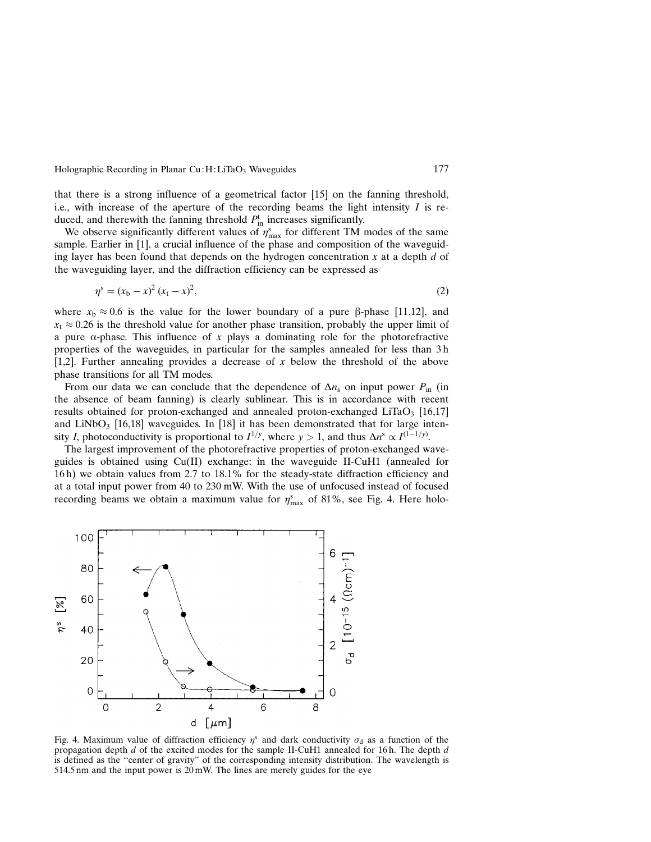Holographic Recording in Planar Cu: H: LiTaO<sub>3</sub> Waveguides 177

that there is a strong influence of a geometrical factor [15] on the fanning threshold, i.e., with increase of the aperture of the recording beams the light intensity  $I$  is reduced, and therewith the fanning threshold  $P_{\text{in}}^{\text{t}}$  increases significantly.

We observe significantly different values of  $\eta_{\text{max}}^s$  for different TM modes of the same sample. Earlier in [1], a crucial influence of the phase and composition of the waveguiding layer has been found that depends on the hydrogen concentration  $x$  at a depth  $d$  of the waveguiding layer, and the diffraction efficiency can be expressed as

$$
\eta^s = (x_b - x)^2 (x_t - x)^2,\tag{2}
$$

where  $x_b \approx 0.6$  is the value for the lower boundary of a pure  $\beta$ -phase [11,12], and  $x_t \approx 0.26$  is the threshold value for another phase transition, probably the upper limit of a pure  $\alpha$ -phase. This influence of x plays a dominating role for the photorefractive properties of the waveguides, in particular for the samples annealed for less than 3 h [1,2]. Further annealing provides a decrease of x below the threshold of the above phase transitions for all TM modes.

From our data we can conclude that the dependence of  $\Delta n_s$  on input power  $P_{in}$  (in the absence of beam fanning) is clearly sublinear. This is in accordance with recent results obtained for proton-exchanged and annealed proton-exchanged LiTaO<sub>3</sub> [16,17] and LiNbO<sub>3</sub> [16,18] waveguides. In [18] it has been demonstrated that for large intensity *I*, photoconductivity is proportional to  $I^{1/y}$ , where  $y > 1$ , and thus  $\Delta n^s \propto I^{(1-1/y)}$ .

The largest improvement of the photorefractive properties of proton-exchanged waveguides is obtained using  $Cu(II)$  exchange: in the waveguide II-CuH1 (annealed for 16 h) we obtain values from 2.7 to 18.1% for the steady-state diffraction efficiency and at a total input power from 40 to 230 mW. With the use of unfocused instead of focused recording beams we obtain a maximum value for  $\eta_{\text{max}}^s$  of 81%, see Fig. 4. Here holo-



Fig. 4. Maximum value of diffraction efficiency  $\eta^s$  and dark conductivity  $\sigma_d$  as a function of the propagation depth  $d$  of the excited modes for the sample II-CuH1 annealed for 16 h. The depth  $d$ is defined as the "center of gravity" of the corresponding intensity distribution. The wavelength is 514.5 nm and the input power is 20 mW. The lines are merely guides for the eye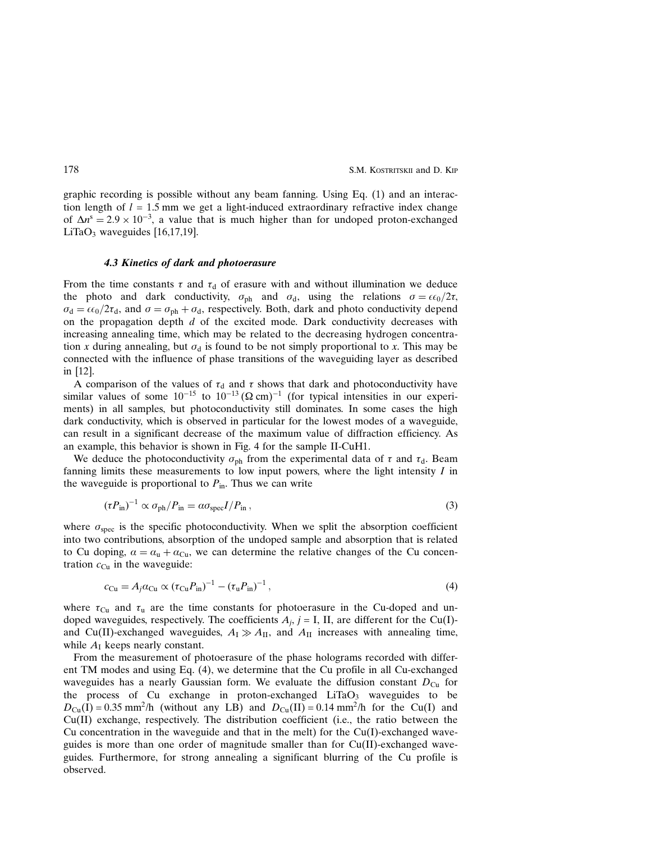178 S.M. KOSTRITSKII and D. Kip

graphic recording is possible without any beam fanning. Using Eq. (1) and an interaction length of  $l = 1.5$  mm we get a light-induced extraordinary refractive index change of  $\Delta n^s = 2.9 \times 10^{-3}$ , a value that is much higher than for undoped proton-exchanged LiTaO<sub>3</sub> waveguides  $[16,17,19]$ .

#### 4.3 Kinetics of dark and photoerasure

From the time constants  $\tau$  and  $\tau_d$  of erasure with and without illumination we deduce the photo and dark conductivity,  $\sigma_{ph}$  and  $\sigma_d$ , using the relations  $\sigma = \epsilon \epsilon_0/2\tau$ ,  $\sigma_d = \epsilon \epsilon_0/2\tau_d$ , and  $\sigma = \sigma_{ph} + \sigma_d$ , respectively. Both, dark and photo conductivity depend on the propagation depth  $d$  of the excited mode. Dark conductivity decreases with increasing annealing time, which may be related to the decreasing hydrogen concentration x during annealing, but  $\sigma_d$  is found to be not simply proportional to x. This may be connected with the influence of phase transitions of the waveguiding layer as described in [12].

A comparison of the values of  $\tau_d$  and  $\tau$  shows that dark and photoconductivity have similar values of some  $10^{-15}$  to  $10^{-13}$  ( $\Omega$  cm)<sup>-1</sup> (for typical intensities in our experiments) in all samples, but photoconductivity still dominates. In some cases the high dark conductivity, which is observed in particular for the lowest modes of a waveguide, can result in a significant decrease of the maximum value of diffraction efficiency. As an example, this behavior is shown in Fig. 4 for the sample II-CuH1.

We deduce the photoconductivity  $\sigma_{ph}$  from the experimental data of  $\tau$  and  $\tau_d$ . Beam fanning limits these measurements to low input powers, where the light intensity  $I$  in the waveguide is proportional to  $P_{\text{in}}$ . Thus we can write

$$
(\tau P_{\rm in})^{-1} \propto \sigma_{\rm ph}/P_{\rm in} = a\sigma_{\rm spec} I/P_{\rm in} \,,\tag{3}
$$

where  $\sigma_{\text{spec}}$  is the specific photoconductivity. When we split the absorption coefficient into two contributions, absorption of the undoped sample and absorption that is related to Cu doping,  $\alpha = \alpha_{\rm u} + \alpha_{\rm Cu}$ , we can determine the relative changes of the Cu concentration  $c_{Cu}$  in the waveguide:

$$
c_{\rm Cu} = A_j a_{\rm Cu} \propto (\tau_{\rm Cu} P_{\rm in})^{-1} - (\tau_{\rm u} P_{\rm in})^{-1}, \tag{4}
$$

where  $\tau_{Cu}$  and  $\tau_{u}$  are the time constants for photoerasure in the Cu-doped and undoped waveguides, respectively. The coefficients  $A_i$ , j = I, II, are different for the Cu(I)and Cu(II)-exchanged waveguides,  $A_I \gg A_{II}$ , and  $A_{II}$  increases with annealing time, while  $A<sub>I</sub>$  keeps nearly constant.

From the measurement of photoerasure of the phase holograms recorded with different TM modes and using Eq. (4), we determine that the Cu profile in all Cu-exchanged waveguides has a nearly Gaussian form. We evaluate the diffusion constant  $D_{Cu}$  for the process of Cu exchange in proton-exchanged  $LiTaO<sub>3</sub>$  waveguides to be  $D_{Cu}(I) = 0.35$  mm<sup>2</sup>/h (without any LB) and  $D_{Cu}(II) = 0.14$  mm<sup>2</sup>/h for the Cu(I) and Cu(II) exchange, respectively. The distribution coefficient (i.e., the ratio between the Cu concentration in the waveguide and that in the melt) for the  $Cu(I)$ -exchanged waveguides is more than one order of magnitude smaller than for  $Cu(II)-exchanged$  waveguides. Furthermore, for strong annealing a significant blurring of the Cu profile is observed.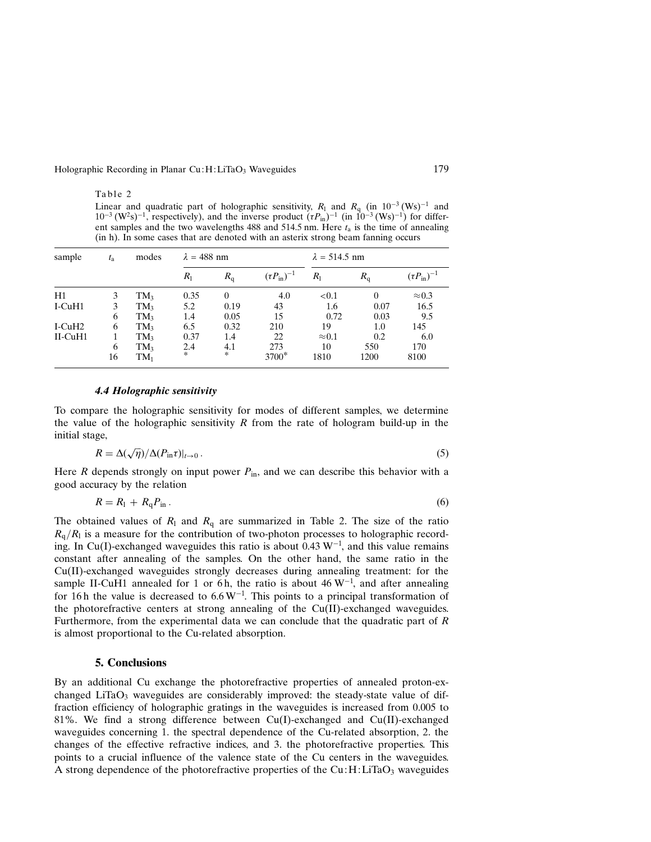#### Holographic Recording in Planar Cu: H:LiTaO<sub>3</sub> Waveguides 179

## Table 2

Linear and quadratic part of holographic sensitivity,  $R_1$  and  $R_q$  (in  $10^{-3}$  (Ws)<sup>-1</sup> and  $10^{-3}$  (W<sup>2</sup>s)<sup>-1</sup>, respectively), and the inverse product  $(\tau P_{\text{in}})^{-1}$  (in  $10^{-3}$  (Ws)<sup>-1</sup>) for different samples and the two wavelengths 488 and 514.5 nm. Here  $t_a$  is the time of annealing (in h). In some cases that are denoted with an asterix strong beam fanning occurs

| sample        | $t_{\rm a}$ | modes           | $\lambda = 488$ nm |               |                             | $\lambda = 514.5$ nm |             |                          |
|---------------|-------------|-----------------|--------------------|---------------|-----------------------------|----------------------|-------------|--------------------------|
|               |             |                 | $R_{1}$            | $R_{q}$       | $(\tau P_{\text{in}})^{-1}$ | $R_{1}$              | $R_{\rm q}$ | $(\tau P_{\rm in})^{-1}$ |
| H1            | 3           | TM <sub>3</sub> | 0.35               | $\Omega$      | 4.0                         | ${<}0.1$             |             | $\approx 0.3$            |
| I-CuH1        | 3           | TM <sub>3</sub> | 5.2                | 0.19          | 43                          | 1.6                  | 0.07        | 16.5                     |
|               | 6           | TM <sub>3</sub> | 1.4                | 0.05          | 15                          | 0.72                 | 0.03        | 9.5                      |
| $I-CuH2$      | 6           | $TM_3$          | 6.5                | 0.32          | 210                         | 19                   | 1.0         | 145                      |
| $II$ -CuH $1$ |             | TM <sub>3</sub> | 0.37               | 1.4           | 22                          | $\approx 0.1$        | 0.2         | 6.0                      |
|               | 6           | TM <sub>3</sub> | 2.4                | 4.1           | 273                         | 10                   | 550         | 170                      |
|               | 16          | $\mathrm{TM}_1$ | $\frac{1}{2}$      | $\frac{1}{2}$ | 3700 <sup>*</sup>           | 1810                 | 1200        | 8100                     |

# 4.4 Holographic sensitivity

To compare the holographic sensitivity for modes of different samples, we determine the value of the holographic sensitivity  $R$  from the rate of hologram build-up in the initial stage,

$$
R = \Delta(\sqrt{\eta})/\Delta(P_{\text{in}}\tau)|_{t \to 0}.
$$
\n(5)

Here  $R$  depends strongly on input power  $P_{\text{in}}$ , and we can describe this behavior with a good accuracy by the relation

$$
R = R_1 + R_q P_{\text{in}} \,. \tag{6}
$$

The obtained values of  $R_1$  and  $R_q$  are summarized in Table 2. The size of the ratio  $R_q/R_l$  is a measure for the contribution of two-photon processes to holographic recording. In Cu(I)-exchanged waveguides this ratio is about 0.43  $W^{-1}$ , and this value remains constant after annealing of the samples. On the other hand, the same ratio in the Cu(II)-exchanged waveguides strongly decreases during annealing treatment: for the sample II-CuH1 annealed for 1 or 6h, the ratio is about 46  $W^{-1}$ , and after annealing for 16h the value is decreased to  $6.6 \,\mathrm{W}^{-1}$ . This points to a principal transformation of the photorefractive centers at strong annealing of the  $Cu(II)$ -exchanged waveguides. Furthermore, from the experimental data we can conclude that the quadratic part of  $R$ is almost proportional to the Cu-related absorption.

# 5. Conclusions

By an additional Cu exchange the photorefractive properties of annealed proton-exchanged LiTaO<sub>3</sub> waveguides are considerably improved: the steady-state value of diffraction efficiency of holographic gratings in the waveguides is increased from 0.005 to 81%. We find a strong difference between Cu(I)-exchanged and Cu(II)-exchanged waveguides concerning 1. the spectral dependence of the Cu-related absorption, 2. the changes of the effective refractive indices, and 3. the photorefractive properties. This points to a crucial influence of the valence state of the Cu centers in the waveguides. A strong dependence of the photorefractive properties of the  $Cu:H:LiTaO<sub>3</sub>$  waveguides